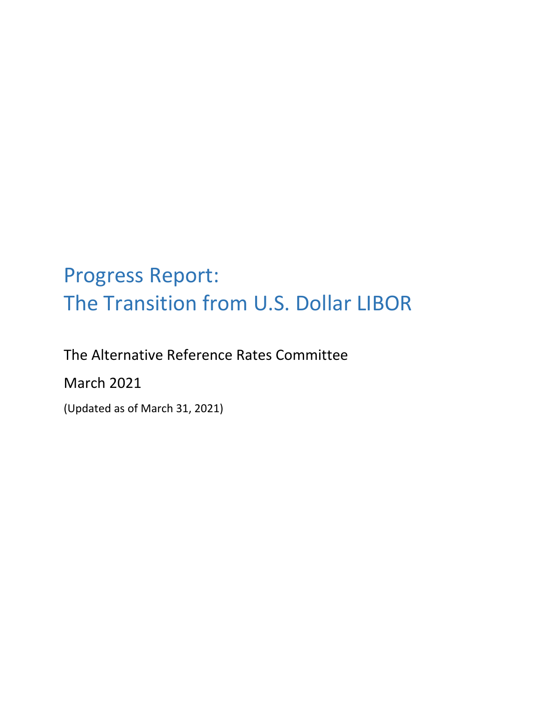# Progress Report: The Transition from U.S. Dollar LIBOR

The Alternative Reference Rates Committee March 2021 (Updated as of March 31, 2021)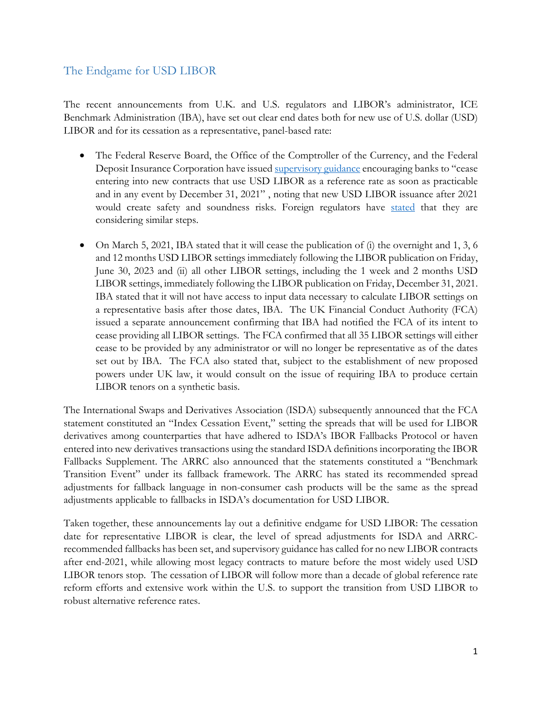## The Endgame for USD LIBOR

The recent announcements from U.K. and U.S. regulators and LIBOR's administrator, ICE Benchmark Administration (IBA), have set out clear end dates both for new use of U.S. dollar (USD) LIBOR and for its cessation as a representative, panel-based rate:

- The Federal Reserve Board, the Office of the Comptroller of the Currency, and the Federal Deposit Insurance Corporation have issued [supervisory guidance](https://www.federalreserve.gov/newsevents/pressreleases/files/bcreg20201130a1.pdf) encouraging banks to "cease entering into new contracts that use USD LIBOR as a reference rate as soon as practicable and in any event by December 31, 2021" , noting that new USD LIBOR issuance after 2021 would create safety and soundness risks. Foreign regulators have [stated](https://www.fca.org.uk/news/statements/fca-response-iba-proposed-consultation-intention-cease-us-dollar-libor) that they are considering similar steps.
- On March 5, 2021, IBA stated that it will cease the publication of (i) the overnight and 1, 3, 6 and 12 months USD LIBOR settings immediately following the LIBOR publication on Friday, June 30, 2023 and (ii) all other LIBOR settings, including the 1 week and 2 months USD LIBOR settings, immediately following the LIBOR publication on Friday, December 31, 2021. IBA stated that it will not have access to input data necessary to calculate LIBOR settings on a representative basis after those dates, IBA. The UK Financial Conduct Authority (FCA) issued a separate announcement confirming that IBA had notified the FCA of its intent to cease providing all LIBOR settings. The FCA confirmed that all 35 LIBOR settings will either cease to be provided by any administrator or will no longer be representative as of the dates set out by IBA. The FCA also stated that, subject to the establishment of new proposed powers under UK law, it would consult on the issue of requiring IBA to produce certain LIBOR tenors on a synthetic basis.

The International Swaps and Derivatives Association (ISDA) subsequently announced that the FCA statement constituted an "Index Cessation Event," setting the spreads that will be used for LIBOR derivatives among counterparties that have adhered to ISDA's IBOR Fallbacks Protocol or haven entered into new derivatives transactions using the standard ISDA definitions incorporating the IBOR Fallbacks Supplement. The ARRC also announced that the statements constituted a "Benchmark Transition Event" under its fallback framework. The ARRC has stated its recommended spread adjustments for fallback language in non-consumer cash products will be the same as the spread adjustments applicable to fallbacks in ISDA's documentation for USD LIBOR.

Taken together, these announcements lay out a definitive endgame for USD LIBOR: The cessation date for representative LIBOR is clear, the level of spread adjustments for ISDA and ARRCrecommended fallbacks has been set, and supervisory guidance has called for no new LIBOR contracts after end-2021, while allowing most legacy contracts to mature before the most widely used USD LIBOR tenors stop. The cessation of LIBOR will follow more than a decade of global reference rate reform efforts and extensive work within the U.S. to support the transition from USD LIBOR to robust alternative reference rates.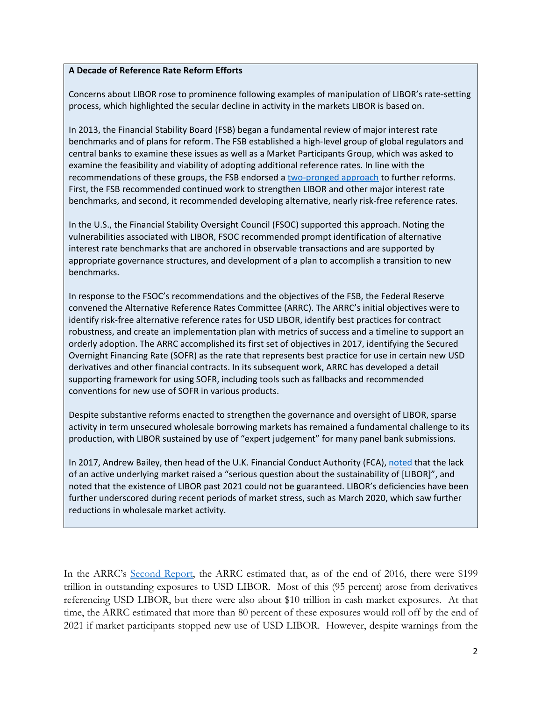## **A Decade of Reference Rate Reform Efforts**

Concerns about LIBOR rose to prominence following examples of manipulation of LIBOR's rate-setting process, which highlighted the secular decline in activity in the markets LIBOR is based on.

In 2013, the Financial Stability Board (FSB) began a fundamental review of major interest rate benchmarks and of plans for reform. The FSB established a high-level group of global regulators and central banks to examine these issues as well as a Market Participants Group, which was asked to examine the feasibility and viability of adopting additional reference rates. In line with the recommendations of these groups, the FSB endorsed a [two-pronged approach](https://www.fsb.org/wp-content/uploads/r_140722.pdf) to further reforms. First, the FSB recommended continued work to strengthen LIBOR and other major interest rate benchmarks, and second, it recommended developing alternative, nearly risk-free reference rates.

In the U.S., the Financial Stability Oversight Council (FSOC) supported this approach. Noting the vulnerabilities associated with LIBOR, FSOC recommended prompt identification of alternative interest rate benchmarks that are anchored in observable transactions and are supported by appropriate governance structures, and development of a plan to accomplish a transition to new benchmarks.

In response to the FSOC's recommendations and the objectives of the FSB, the Federal Reserve convened the Alternative Reference Rates Committee (ARRC). The ARRC's initial objectives were to identify risk-free alternative reference rates for USD LIBOR, identify best practices for contract robustness, and create an implementation plan with metrics of success and a timeline to support an orderly adoption. The ARRC accomplished its first set of objectives in 2017, identifying the Secured Overnight Financing Rate (SOFR) as the rate that represents best practice for use in certain new USD derivatives and other financial contracts. In its subsequent work, ARRC has developed a detail supporting framework for using SOFR, including tools such as fallbacks and recommended conventions for new use of SOFR in various products.

Despite substantive reforms enacted to strengthen the governance and oversight of LIBOR, sparse activity in term unsecured wholesale borrowing markets has remained a fundamental challenge to its production, with LIBOR sustained by use of "expert judgement" for many panel bank submissions.

In 2017, Andrew Bailey, then head of the U.K. Financial Conduct Authority (FCA), [noted](https://www.fca.org.uk/news/speeches/the-future-of-libor) that the lack of an active underlying market raised a "serious question about the sustainability of [LIBOR]", and noted that the existence of LIBOR past 2021 could not be guaranteed. LIBOR's deficiencies have been further underscored during recent periods of market stress, such as March 2020, which saw further reductions in wholesale market activity.

In the ARRC's [Second Report,](https://www.newyorkfed.org/medialibrary/Microsites/arrc/files/2018/ARRC-Second-report) the ARRC estimated that, as of the end of 2016, there were \$199 trillion in outstanding exposures to USD LIBOR. Most of this (95 percent) arose from derivatives referencing USD LIBOR, but there were also about \$10 trillion in cash market exposures. At that time, the ARRC estimated that more than 80 percent of these exposures would roll off by the end of 2021 if market participants stopped new use of USD LIBOR. However, despite warnings from the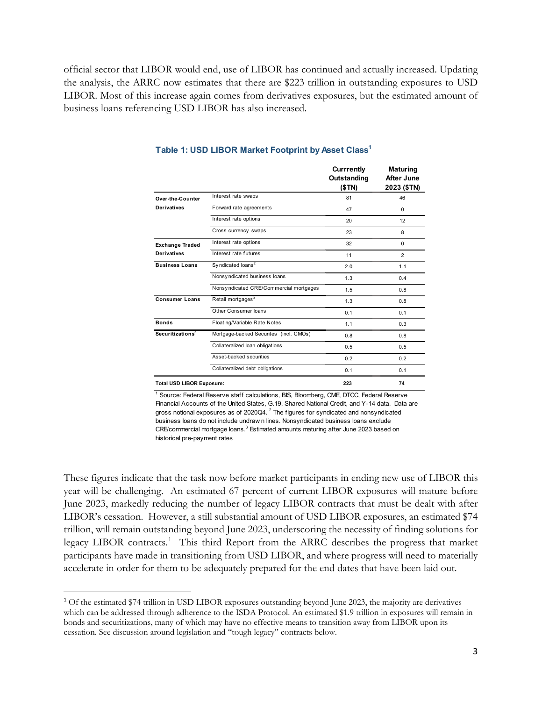official sector that LIBOR would end, use of LIBOR has continued and actually increased. Updating the analysis, the ARRC now estimates that there are \$223 trillion in outstanding exposures to USD LIBOR. Most of this increase again comes from derivatives exposures, but the estimated amount of business loans referencing USD LIBOR has also increased.

|                                  |                                         | <b>Currrently</b><br>Outstanding<br>(\$TN) | <b>Maturing</b><br>After June<br>2023 (\$TN) |
|----------------------------------|-----------------------------------------|--------------------------------------------|----------------------------------------------|
| Over-the-Counter                 | Interest rate swaps                     | 81                                         | 46                                           |
| Derivatives                      | Forward rate agreements                 | 47                                         | $\Omega$                                     |
|                                  | Interest rate options                   | 20                                         | 12                                           |
|                                  | Cross currency swaps                    | 23                                         | 8                                            |
| <b>Exchange Traded</b>           | Interest rate options                   | 32                                         | $\Omega$                                     |
| Derivatives                      | Interest rate futures                   | 11                                         | 2                                            |
| <b>Business Loans</b>            | Syndicated loans <sup>2</sup>           | 2.0                                        | 1.1                                          |
|                                  | Nonsy ndicated business loans           | 1.3                                        | 0.4                                          |
|                                  | Nonsy ndicated CRE/Commercial mortgages | 1.5                                        | 0.8                                          |
| <b>Consumer Loans</b>            | Retail mortgages <sup>3</sup>           | 1.3                                        | 0.8                                          |
|                                  | Other Consumer loans                    | 0.1                                        | 0.1                                          |
| <b>Bonds</b>                     | Floating/Variable Rate Notes            | 1.1                                        | 0.3                                          |
| Securitizations <sup>3</sup>     | Mortgage-backed Securites (incl. CMOs)  | 0.8                                        | 0.8                                          |
|                                  | Collateralized loan obligations         | 0.5                                        | 0.5                                          |
|                                  | Asset-backed securities                 | 0.2                                        | 0.2                                          |
|                                  | Collateralized debt obligations         | 0.1                                        | 0.1                                          |
| <b>Total USD LIBOR Exposure:</b> |                                         | 223                                        | 74                                           |

#### **Table 1: USD LIBOR Market Footprint by Asset Class1**

<sup>1</sup> Source: Federal Reserve staff calculations, BIS, Bloomberg, CME, DTCC, Federal Reserve Financial Accounts of the United States, G.19, Shared National Credit, and Y-14 data. Data are gross notional exposures as of 2020Q4.  $^2$  The figures for syndicated and nonsyndicated business loans do not include undraw n lines. Nonsyndicated business loans exclude  $CRE$ /commercial mortgage loans. $^3$  Estimated amounts maturing after June 2023 based on historical pre-payment rates

These figures indicate that the task now before market participants in ending new use of LIBOR this year will be challenging. An estimated 67 percent of current LIBOR exposures will mature before June 2023, markedly reducing the number of legacy LIBOR contracts that must be dealt with after LIBOR's cessation. However, a still substantial amount of USD LIBOR exposures, an estimated \$74 trillion, will remain outstanding beyond June 2023, underscoring the necessity of finding solutions for legacy LIBOR contracts.<sup>[1](#page-3-0)</sup> This third Report from the ARRC describes the progress that market participants have made in transitioning from USD LIBOR, and where progress will need to materially accelerate in order for them to be adequately prepared for the end dates that have been laid out.

<span id="page-3-0"></span><sup>&</sup>lt;sup>1</sup> Of the estimated \$74 trillion in USD LIBOR exposures outstanding beyond June 2023, the majority are derivatives which can be addressed through adherence to the ISDA Protocol. An estimated \$1.9 trillion in exposures will remain in bonds and securitizations, many of which may have no effective means to transition away from LIBOR upon its cessation. See discussion around legislation and "tough legacy" contracts below.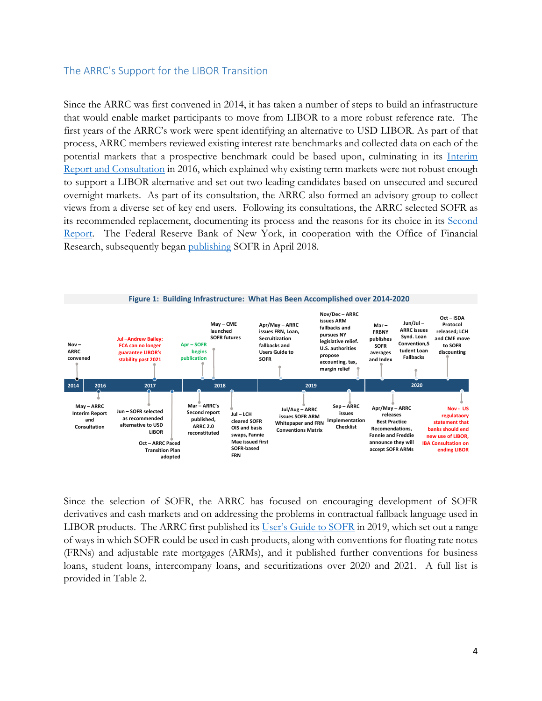## The ARRC's Support for the LIBOR Transition

Since the ARRC was first convened in 2014, it has taken a number of steps to build an infrastructure that would enable market participants to move from LIBOR to a more robust reference rate. The first years of the ARRC's work were spent identifying an alternative to USD LIBOR. As part of that process, ARRC members reviewed existing interest rate benchmarks and collected data on each of the potential markets that a prospective benchmark could be based upon, culminating in its [Interim](https://www.newyorkfed.org/medialibrary/microsites/arrc/files/2016/arrc-interim-report-and-consultation.pdf?la=en)  [Report and Consultation](https://www.newyorkfed.org/medialibrary/microsites/arrc/files/2016/arrc-interim-report-and-consultation.pdf?la=en) in 2016, which explained why existing term markets were not robust enough to support a LIBOR alternative and set out two leading candidates based on unsecured and secured overnight markets. As part of its consultation, the ARRC also formed an advisory group to collect views from a diverse set of key end users. Following its consultations, the ARRC selected SOFR as its recommended replacement, documenting its process and the reasons for its choice in its [Second](https://www.newyorkfed.org/medialibrary/Microsites/arrc/files/2018/ARRC-Second-report)  [Report.](https://www.newyorkfed.org/medialibrary/Microsites/arrc/files/2018/ARRC-Second-report) The Federal Reserve Bank of New York, in cooperation with the Office of Financial Research, subsequently began [publishing](https://apps.newyorkfed.org/markets/autorates/sofr) SOFR in April 2018.



Since the selection of SOFR, the ARRC has focused on encouraging development of SOFR derivatives and cash markets and on addressing the problems in contractual fallback language used in LIBOR products. The ARRC first published its [User's Guide to SOFR](https://www.newyorkfed.org/medialibrary/Microsites/arrc/files/2021/users-guide-to-sofr2021-update.pdf) in 2019, which set out a range of ways in which SOFR could be used in cash products, along with conventions for floating rate notes (FRNs) and adjustable rate mortgages (ARMs), and it published further conventions for business loans, student loans, intercompany loans, and securitizations over 2020 and 2021. A full list is provided in Table 2.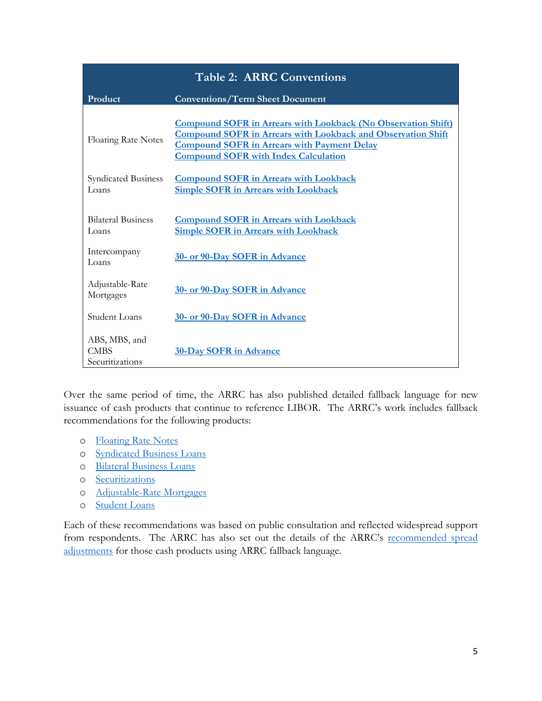| <b>Table 2: ARRC Conventions</b>                |                                                                                                                                                                                                                                                  |  |
|-------------------------------------------------|--------------------------------------------------------------------------------------------------------------------------------------------------------------------------------------------------------------------------------------------------|--|
| Product                                         | <b>Conventions/Term Sheet Document</b>                                                                                                                                                                                                           |  |
| <b>Floating Rate Notes</b>                      | <b>Compound SOFR in Arrears with Lookback (No Observation Shift)</b><br><b>Compound SOFR in Arrears with Lookback and Observation Shift</b><br><b>Compound SOFR in Arrears with Payment Delay</b><br><b>Compound SOFR with Index Calculation</b> |  |
| <b>Syndicated Business</b><br>Loans             | <b>Compound SOFR in Arrears with Lookback</b><br><b>Simple SOFR in Arrears with Lookback</b>                                                                                                                                                     |  |
| <b>Bilateral Business</b><br>Loans              | <b>Compound SOFR in Arrears with Lookback</b><br><b>Simple SOFR in Arrears with Lookback</b>                                                                                                                                                     |  |
| Intercompany<br>Loans                           | 30- or 90-Day SOFR in Advance                                                                                                                                                                                                                    |  |
| Adjustable-Rate<br>Mortgages                    | 30- or 90-Day SOFR in Advance                                                                                                                                                                                                                    |  |
| Student Loans                                   | 30- or 90-Day SOFR in Advance                                                                                                                                                                                                                    |  |
| ABS, MBS, and<br><b>CMBS</b><br>Securitizations | <b>30-Day SOFR in Advance</b>                                                                                                                                                                                                                    |  |

Over the same period of time, the ARRC has also published detailed fallback language for new issuance of cash products that continue to reference LIBOR. The ARRC's work includes fallback recommendations for the following products:

- o [Floating Rate Notes](https://www.newyorkfed.org/medialibrary/Microsites/arrc/files/2019/FRN_Fallback_Language.pdf)
- o [Syndicated Business Loans](https://www.newyorkfed.org/medialibrary/Microsites/arrc/files/2020/Updated-Final-Recommended-Language-June-30-2020.pdf)
- o [Bilateral Business Loans](https://www.newyorkfed.org/medialibrary/Microsites/arrc/files/2020/Updated-Final-Recommended-Bilateral-Business-Loans-Fallback-Language-August-27-2020.pdf)
- o [Securitizations](https://www.newyorkfed.org/medialibrary/Microsites/arrc/files/2019/Securitization_Fallback_Language.pdf)
- o [Adjustable-Rate Mortgages](https://www.newyorkfed.org/medialibrary/Microsites/arrc/files/2019/ARM_Fallback_Language.pdf)
- o [Student Loans](https://www.newyorkfed.org/medialibrary/Microsites/arrc/files/2020/Private-Student-Loan-Fallback-Language.pdf)

Each of these recommendations was based on public consultation and reflected widespread support from respondents. The ARRC has also set out the details of the ARRC's recommended spread [adjustments](https://www.newyorkfed.org/medialibrary/Microsites/arrc/files/2020/ARRC_Spread_Adjustment_Methodology.pdf) for those cash products using ARRC fallback language.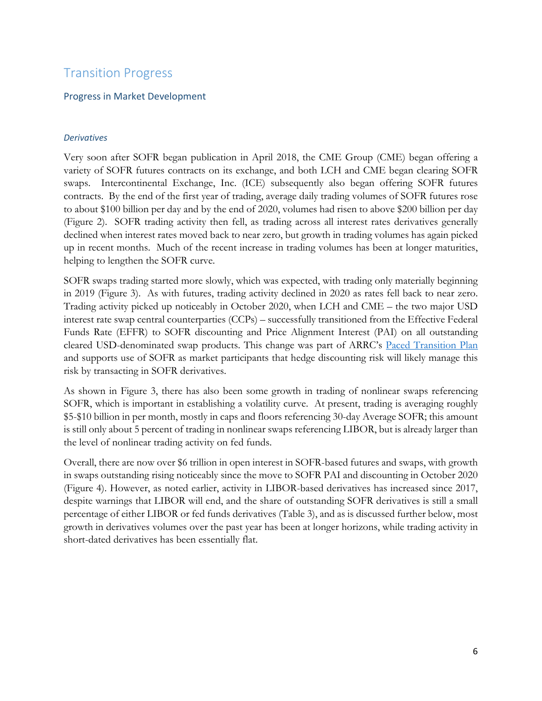## Transition Progress

## Progress in Market Development

## *Derivatives*

Very soon after SOFR began publication in April 2018, the CME Group (CME) began offering a variety of SOFR futures contracts on its exchange, and both LCH and CME began clearing SOFR swaps. Intercontinental Exchange, Inc. (ICE) subsequently also began offering SOFR futures contracts. By the end of the first year of trading, average daily trading volumes of SOFR futures rose to about \$100 billion per day and by the end of 2020, volumes had risen to above \$200 billion per day (Figure 2). SOFR trading activity then fell, as trading across all interest rates derivatives generally declined when interest rates moved back to near zero, but growth in trading volumes has again picked up in recent months. Much of the recent increase in trading volumes has been at longer maturities, helping to lengthen the SOFR curve.

SOFR swaps trading started more slowly, which was expected, with trading only materially beginning in 2019 (Figure 3). As with futures, trading activity declined in 2020 as rates fell back to near zero. Trading activity picked up noticeably in October 2020, when LCH and CME – the two major USD interest rate swap central counterparties (CCPs) – successfully transitioned from the Effective Federal Funds Rate (EFFR) to SOFR discounting and Price Alignment Interest (PAI) on all outstanding cleared USD-denominated swap products. This change was part of ARRC's [Paced Transition Plan](https://www.newyorkfed.org/arrc/sofr-transition#pacedtransition) and supports use of SOFR as market participants that hedge discounting risk will likely manage this risk by transacting in SOFR derivatives.

As shown in Figure 3, there has also been some growth in trading of nonlinear swaps referencing SOFR, which is important in establishing a volatility curve. At present, trading is averaging roughly \$5-\$10 billion in per month, mostly in caps and floors referencing 30-day Average SOFR; this amount is still only about 5 percent of trading in nonlinear swaps referencing LIBOR, but is already larger than the level of nonlinear trading activity on fed funds.

Overall, there are now over \$6 trillion in open interest in SOFR-based futures and swaps, with growth in swaps outstanding rising noticeably since the move to SOFR PAI and discounting in October 2020 (Figure 4). However, as noted earlier, activity in LIBOR-based derivatives has increased since 2017, despite warnings that LIBOR will end, and the share of outstanding SOFR derivatives is still a small percentage of either LIBOR or fed funds derivatives (Table 3), and as is discussed further below, most growth in derivatives volumes over the past year has been at longer horizons, while trading activity in short-dated derivatives has been essentially flat.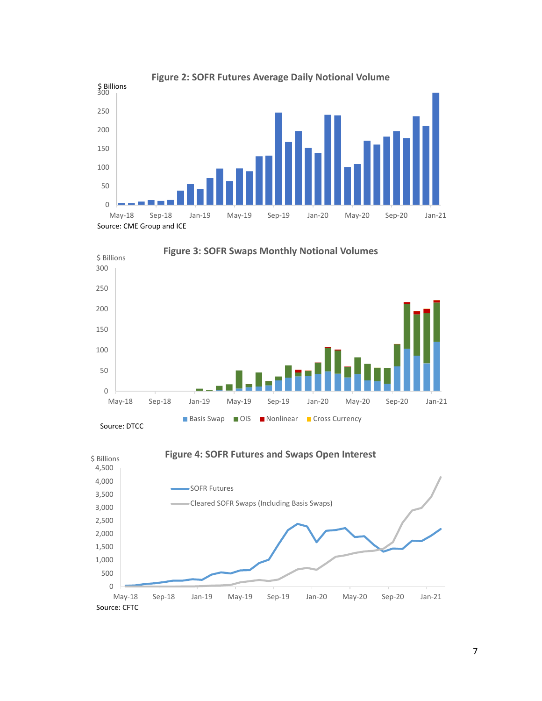





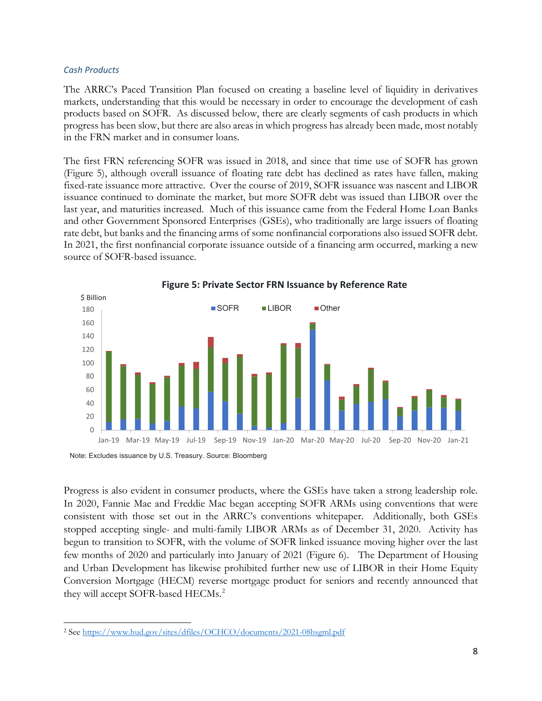### *Cash Products*

The ARRC's Paced Transition Plan focused on creating a baseline level of liquidity in derivatives markets, understanding that this would be necessary in order to encourage the development of cash products based on SOFR. As discussed below, there are clearly segments of cash products in which progress has been slow, but there are also areas in which progress has already been made, most notably in the FRN market and in consumer loans.

The first FRN referencing SOFR was issued in 2018, and since that time use of SOFR has grown (Figure 5), although overall issuance of floating rate debt has declined as rates have fallen, making fixed-rate issuance more attractive. Over the course of 2019, SOFR issuance was nascent and LIBOR issuance continued to dominate the market, but more SOFR debt was issued than LIBOR over the last year, and maturities increased. Much of this issuance came from the Federal Home Loan Banks and other Government Sponsored Enterprises (GSEs), who traditionally are large issuers of floating rate debt, but banks and the financing arms of some nonfinancial corporations also issued SOFR debt. In 2021, the first nonfinancial corporate issuance outside of a financing arm occurred, marking a new source of SOFR-based issuance.



**Figure 5: Private Sector FRN Issuance by Reference Rate**

Progress is also evident in consumer products, where the GSEs have taken a strong leadership role. In 2020, Fannie Mae and Freddie Mac began accepting SOFR ARMs using conventions that were consistent with those set out in the ARRC's conventions whitepaper. Additionally, both GSEs stopped accepting single- and multi-family LIBOR ARMs as of December 31, 2020. Activity has begun to transition to SOFR, with the volume of SOFR linked issuance moving higher over the last few months of 2020 and particularly into January of 2021 (Figure 6). The Department of Housing and Urban Development has likewise prohibited further new use of LIBOR in their Home Equity Conversion Mortgage (HECM) reverse mortgage product for seniors and recently announced that they will accept SOFR-based HECMs.<sup>[2](#page-8-0)</sup>

Note: Excludes issuance by U.S. Treasury. Source: Bloomberg

<span id="page-8-0"></span><sup>2</sup> See<https://www.hud.gov/sites/dfiles/OCHCO/documents/2021-08hsgml.pdf>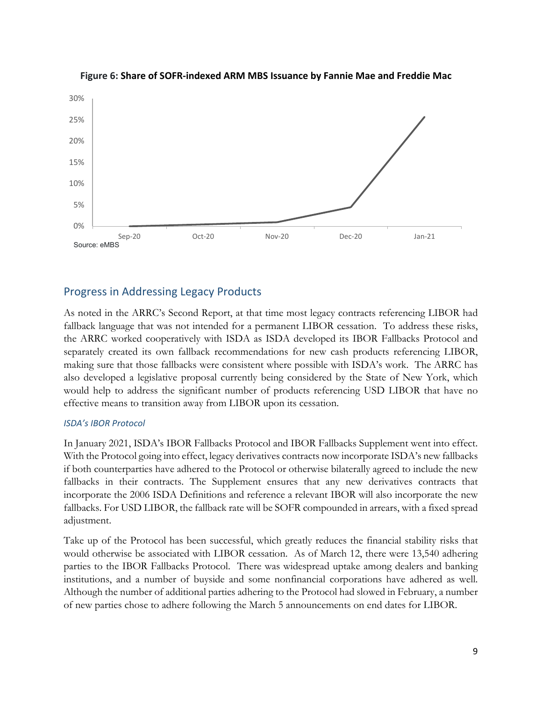

## **Figure 6: Share of SOFR-indexed ARM MBS Issuance by Fannie Mae and Freddie Mac**

## Progress in Addressing Legacy Products

As noted in the ARRC's Second Report, at that time most legacy contracts referencing LIBOR had fallback language that was not intended for a permanent LIBOR cessation. To address these risks, the ARRC worked cooperatively with ISDA as ISDA developed its IBOR Fallbacks Protocol and separately created its own fallback recommendations for new cash products referencing LIBOR, making sure that those fallbacks were consistent where possible with ISDA's work. The ARRC has also developed a legislative proposal currently being considered by the State of New York, which would help to address the significant number of products referencing USD LIBOR that have no effective means to transition away from LIBOR upon its cessation.

## *ISDA's IBOR Protocol*

In January 2021, ISDA's IBOR Fallbacks Protocol and IBOR Fallbacks Supplement went into effect. With the Protocol going into effect, legacy derivatives contracts now incorporate ISDA's new fallbacks if both counterparties have adhered to the Protocol or otherwise bilaterally agreed to include the new fallbacks in their contracts. The Supplement ensures that any new derivatives contracts that incorporate the 2006 ISDA Definitions and reference a relevant IBOR will also incorporate the new fallbacks. For USD LIBOR, the fallback rate will be SOFR compounded in arrears, with a fixed spread adjustment.

Take up of the Protocol has been successful, which greatly reduces the financial stability risks that would otherwise be associated with LIBOR cessation. As of March 12, there were 13,540 adhering parties to the IBOR Fallbacks Protocol. There was widespread uptake among dealers and banking institutions, and a number of buyside and some nonfinancial corporations have adhered as well. Although the number of additional parties adhering to the Protocol had slowed in February, a number of new parties chose to adhere following the March 5 announcements on end dates for LIBOR.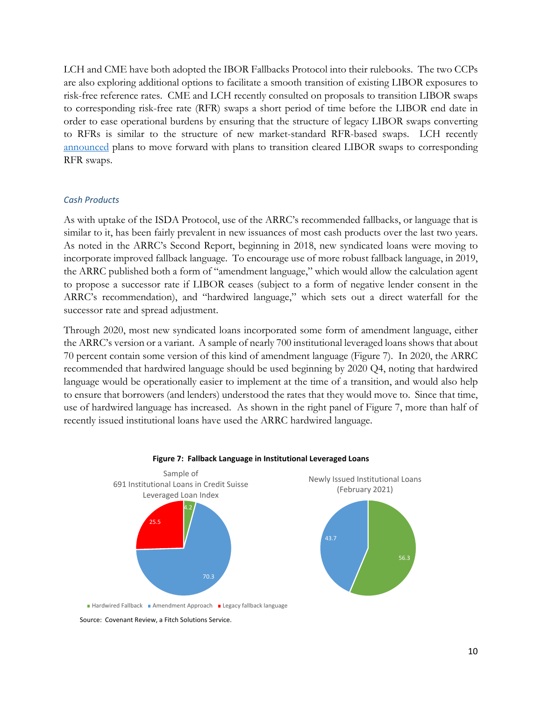LCH and CME have both adopted the IBOR Fallbacks Protocol into their rulebooks. The two CCPs are also exploring additional options to facilitate a smooth transition of existing LIBOR exposures to risk-free reference rates. CME and LCH recently consulted on proposals to transition LIBOR swaps to corresponding risk-free rate (RFR) swaps a short period of time before the LIBOR end date in order to ease operational burdens by ensuring that the structure of legacy LIBOR swaps converting to RFRs is similar to the structure of new market-standard RFR-based swaps. LCH recently [announced](https://www.lch.com/membership/ltd-membership/ltd-member-updates/summary-lchs-consultation-its-solution-outstanding-0) plans to move forward with plans to transition cleared LIBOR swaps to corresponding RFR swaps.

## *Cash Products*

As with uptake of the ISDA Protocol, use of the ARRC's recommended fallbacks, or language that is similar to it, has been fairly prevalent in new issuances of most cash products over the last two years. As noted in the ARRC's Second Report, beginning in 2018, new syndicated loans were moving to incorporate improved fallback language. To encourage use of more robust fallback language, in 2019, the ARRC published both a form of "amendment language," which would allow the calculation agent to propose a successor rate if LIBOR ceases (subject to a form of negative lender consent in the ARRC's recommendation), and "hardwired language," which sets out a direct waterfall for the successor rate and spread adjustment.

Through 2020, most new syndicated loans incorporated some form of amendment language, either the ARRC's version or a variant. A sample of nearly 700 institutional leveraged loans shows that about 70 percent contain some version of this kind of amendment language (Figure 7). In 2020, the ARRC recommended that hardwired language should be used beginning by 2020 Q4, noting that hardwired language would be operationally easier to implement at the time of a transition, and would also help to ensure that borrowers (and lenders) understood the rates that they would move to. Since that time, use of hardwired language has increased. As shown in the right panel of Figure 7, more than half of recently issued institutional loans have used the ARRC hardwired language.



#### **Figure 7: Fallback Language in Institutional Leveraged Loans**

Source: Covenant Review, a Fitch Solutions Service.

Hardwired Fallback Amendment Approach Legacy fallback language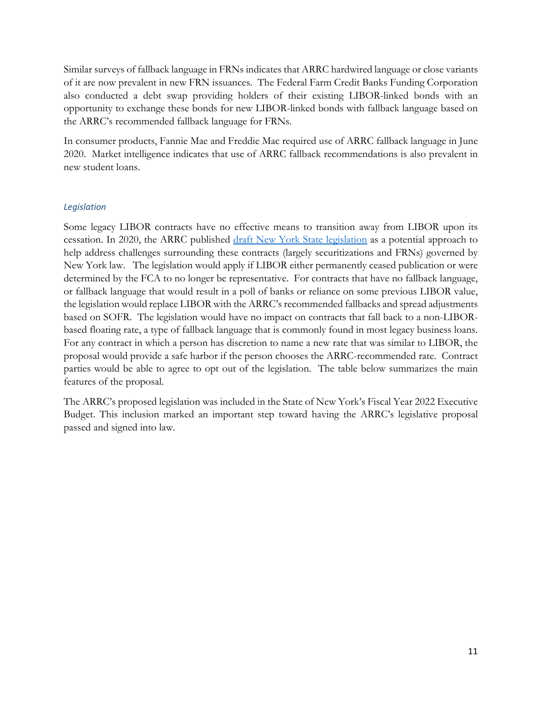Similar surveys of fallback language in FRNs indicates that ARRC hardwired language or close variants of it are now prevalent in new FRN issuances. The Federal Farm Credit Banks Funding Corporation also conducted a debt swap providing holders of their existing LIBOR-linked bonds with an opportunity to exchange these bonds for new LIBOR-linked bonds with fallback language based on the ARRC's recommended fallback language for FRNs.

In consumer products, Fannie Mae and Freddie Mac required use of ARRC fallback language in June 2020. Market intelligence indicates that use of ARRC fallback recommendations is also prevalent in new student loans.

## *Legislation*

Some legacy LIBOR contracts have no effective means to transition away from LIBOR upon its cessation. In 2020, the ARRC published [draft New York State legislation](https://www.newyorkfed.org/medialibrary/Microsites/arrc/files/2020/ARRC_Press_Release_Proposed_Legislative_Solution.pdf) as a potential approach to help address challenges surrounding these contracts (largely securitizations and FRNs) governed by New York law. The legislation would apply if LIBOR either permanently ceased publication or were determined by the FCA to no longer be representative. For contracts that have no fallback language, or fallback language that would result in a poll of banks or reliance on some previous LIBOR value, the legislation would replace LIBOR with the ARRC's recommended fallbacks and spread adjustments based on SOFR. The legislation would have no impact on contracts that fall back to a non-LIBORbased floating rate, a type of fallback language that is commonly found in most legacy business loans. For any contract in which a person has discretion to name a new rate that was similar to LIBOR, the proposal would provide a safe harbor if the person chooses the ARRC-recommended rate. Contract parties would be able to agree to opt out of the legislation. The table below summarizes the main features of the proposal.

The ARRC's proposed legislation was included in the State of New York's Fiscal Year 2022 Executive Budget. This inclusion marked an important step toward having the ARRC's legislative proposal passed and signed into law.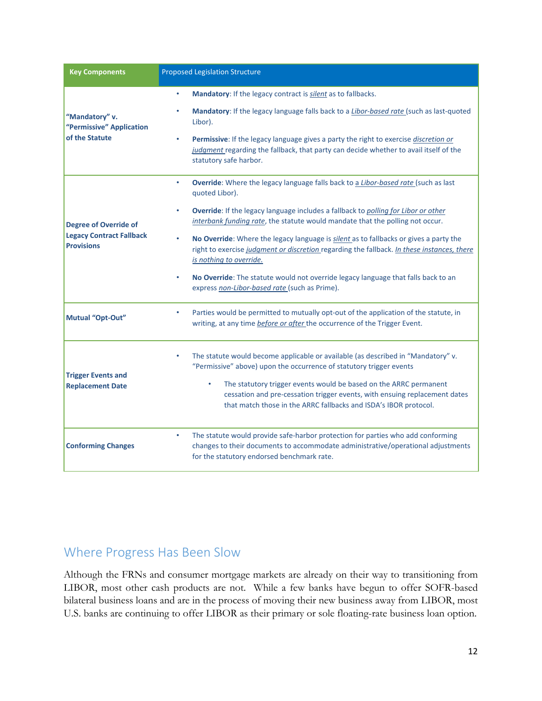| <b>Key Components</b>                                                                | <b>Proposed Legislation Structure</b>                                                                                                                                                                                                                                                                                                                                                                                                                                                                                                                                                                                                                         |
|--------------------------------------------------------------------------------------|---------------------------------------------------------------------------------------------------------------------------------------------------------------------------------------------------------------------------------------------------------------------------------------------------------------------------------------------------------------------------------------------------------------------------------------------------------------------------------------------------------------------------------------------------------------------------------------------------------------------------------------------------------------|
| "Mandatory" v.<br>"Permissive" Application<br>of the Statute                         | Mandatory: If the legacy contract is silent as to fallbacks.<br>$\bullet$<br>Mandatory: If the legacy language falls back to a <i>Libor-based rate</i> (such as last-quoted<br>Libor).<br>Permissive: If the legacy language gives a party the right to exercise discretion or<br>judgment regarding the fallback, that party can decide whether to avail itself of the<br>statutory safe harbor.                                                                                                                                                                                                                                                             |
| <b>Degree of Override of</b><br><b>Legacy Contract Fallback</b><br><b>Provisions</b> | Override: Where the legacy language falls back to a Libor-based rate (such as last<br>$\bullet$<br>quoted Libor).<br>Override: If the legacy language includes a fallback to polling for Libor or other<br>$\bullet$<br>interbank funding rate, the statute would mandate that the polling not occur.<br>No Override: Where the legacy language is silent as to fallbacks or gives a party the<br>right to exercise judgment or discretion regarding the fallback. In these instances, there<br>is nothing to override.<br>No Override: The statute would not override legacy language that falls back to an<br>express non-Libor-based rate (such as Prime). |
| Mutual "Opt-Out"                                                                     | Parties would be permitted to mutually opt-out of the application of the statute, in<br>writing, at any time before or after the occurrence of the Trigger Event.                                                                                                                                                                                                                                                                                                                                                                                                                                                                                             |
| <b>Trigger Events and</b><br><b>Replacement Date</b>                                 | The statute would become applicable or available (as described in "Mandatory" v.<br>"Permissive" above) upon the occurrence of statutory trigger events<br>The statutory trigger events would be based on the ARRC permanent<br>cessation and pre-cessation trigger events, with ensuing replacement dates<br>that match those in the ARRC fallbacks and ISDA's IBOR protocol.                                                                                                                                                                                                                                                                                |
| <b>Conforming Changes</b>                                                            | The statute would provide safe-harbor protection for parties who add conforming<br>$\bullet$<br>changes to their documents to accommodate administrative/operational adjustments<br>for the statutory endorsed benchmark rate.                                                                                                                                                                                                                                                                                                                                                                                                                                |

# Where Progress Has Been Slow

Although the FRNs and consumer mortgage markets are already on their way to transitioning from LIBOR, most other cash products are not. While a few banks have begun to offer SOFR-based bilateral business loans and are in the process of moving their new business away from LIBOR, most U.S. banks are continuing to offer LIBOR as their primary or sole floating-rate business loan option.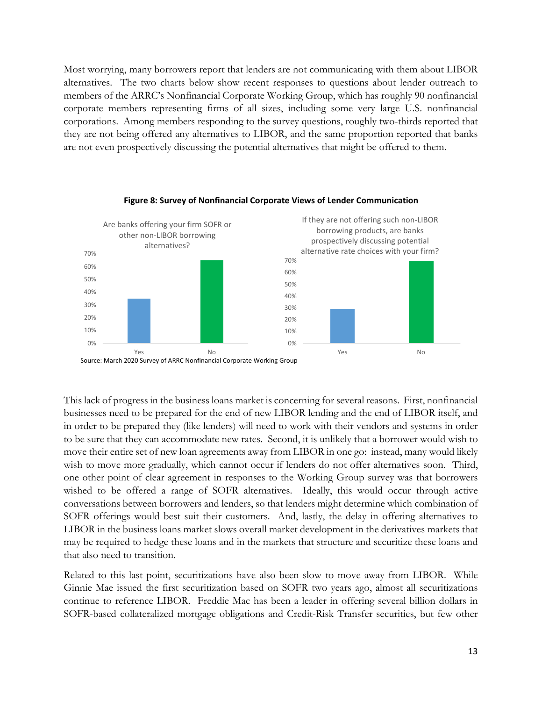Most worrying, many borrowers report that lenders are not communicating with them about LIBOR alternatives. The two charts below show recent responses to questions about lender outreach to members of the ARRC's Nonfinancial Corporate Working Group, which has roughly 90 nonfinancial corporate members representing firms of all sizes, including some very large U.S. nonfinancial corporations. Among members responding to the survey questions, roughly two-thirds reported that they are not being offered any alternatives to LIBOR, and the same proportion reported that banks are not even prospectively discussing the potential alternatives that might be offered to them.



#### **Figure 8: Survey of Nonfinancial Corporate Views of Lender Communication**

This lack of progress in the business loans market is concerning for several reasons. First, nonfinancial businesses need to be prepared for the end of new LIBOR lending and the end of LIBOR itself, and in order to be prepared they (like lenders) will need to work with their vendors and systems in order to be sure that they can accommodate new rates. Second, it is unlikely that a borrower would wish to move their entire set of new loan agreements away from LIBOR in one go: instead, many would likely wish to move more gradually, which cannot occur if lenders do not offer alternatives soon. Third, one other point of clear agreement in responses to the Working Group survey was that borrowers wished to be offered a range of SOFR alternatives. Ideally, this would occur through active conversations between borrowers and lenders, so that lenders might determine which combination of SOFR offerings would best suit their customers. And, lastly, the delay in offering alternatives to LIBOR in the business loans market slows overall market development in the derivatives markets that may be required to hedge these loans and in the markets that structure and securitize these loans and that also need to transition.

Related to this last point, securitizations have also been slow to move away from LIBOR. While Ginnie Mae issued the first securitization based on SOFR two years ago, almost all securitizations continue to reference LIBOR. Freddie Mac has been a leader in offering several billion dollars in SOFR-based collateralized mortgage obligations and Credit-Risk Transfer securities, but few other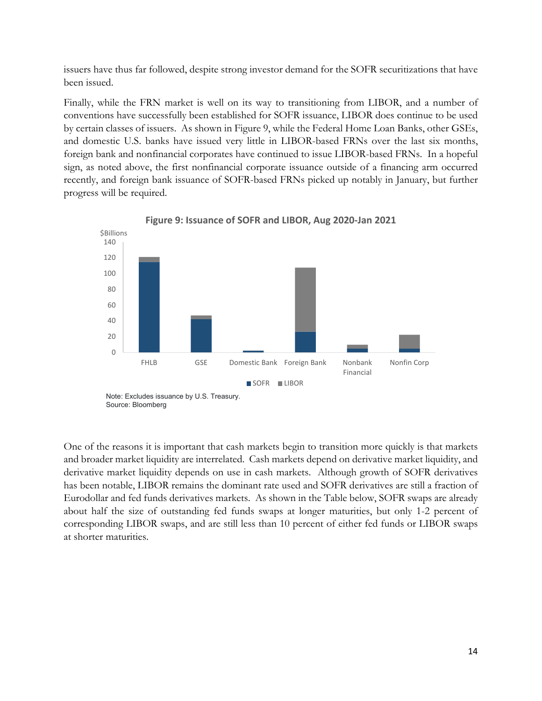issuers have thus far followed, despite strong investor demand for the SOFR securitizations that have been issued.

Finally, while the FRN market is well on its way to transitioning from LIBOR, and a number of conventions have successfully been established for SOFR issuance, LIBOR does continue to be used by certain classes of issuers. As shown in Figure 9, while the Federal Home Loan Banks, other GSEs, and domestic U.S. banks have issued very little in LIBOR-based FRNs over the last six months, foreign bank and nonfinancial corporates have continued to issue LIBOR-based FRNs. In a hopeful sign, as noted above, the first nonfinancial corporate issuance outside of a financing arm occurred recently, and foreign bank issuance of SOFR-based FRNs picked up notably in January, but further progress will be required.



**Figure 9: Issuance of SOFR and LIBOR, Aug 2020-Jan 2021**

One of the reasons it is important that cash markets begin to transition more quickly is that markets and broader market liquidity are interrelated. Cash markets depend on derivative market liquidity, and derivative market liquidity depends on use in cash markets. Although growth of SOFR derivatives has been notable, LIBOR remains the dominant rate used and SOFR derivatives are still a fraction of Eurodollar and fed funds derivatives markets. As shown in the Table below, SOFR swaps are already about half the size of outstanding fed funds swaps at longer maturities, but only 1-2 percent of corresponding LIBOR swaps, and are still less than 10 percent of either fed funds or LIBOR swaps at shorter maturities.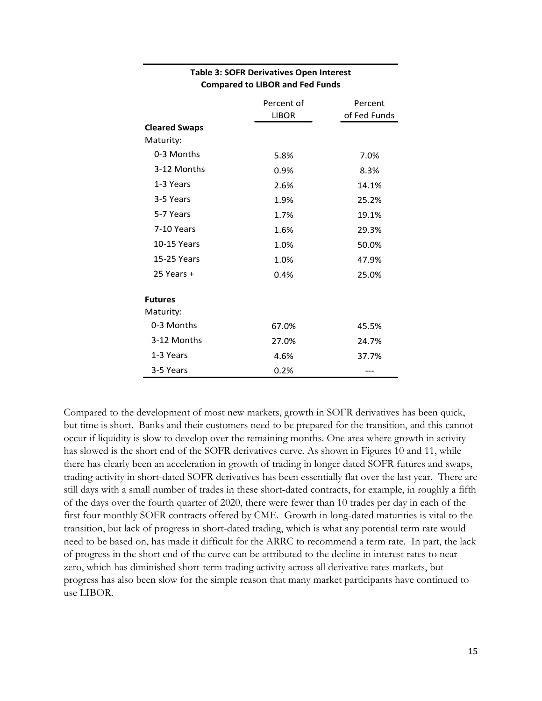|                      | Percent of   | Percent      |
|----------------------|--------------|--------------|
|                      | <b>LIBOR</b> | of Fed Funds |
| <b>Cleared Swaps</b> |              |              |
| Maturity:            |              |              |
| 0-3 Months           | 5.8%         | 7.0%         |
| 3-12 Months          | 0.9%         | 8.3%         |
| 1-3 Years            | 2.6%         | 14.1%        |
| 3-5 Years            | 1.9%         | 25.2%        |
| 5-7 Years            | 1.7%         | 19.1%        |
| 7-10 Years           | 1.6%         | 29.3%        |
| 10-15 Years          | 1.0%         | 50.0%        |
| 15-25 Years          | 1.0%         | 47.9%        |
| 25 Years +           | 0.4%         | 25.0%        |
| <b>Futures</b>       |              |              |
| Maturity:            |              |              |
| 0-3 Months           | 67.0%        | 45.5%        |
| 3-12 Months          | 27.0%        | 24.7%        |
| 1-3 Years            | 4.6%         | 37.7%        |
| 3-5 Years            | 0.2%         |              |

## **Table 3: SOFR Derivatives Open Interest Compared to LIBOR and Fed Funds**

Compared to the development of most new markets, growth in SOFR derivatives has been quick, but time is short. Banks and their customers need to be prepared for the transition, and this cannot occur if liquidity is slow to develop over the remaining months. One area where growth in activity has slowed is the short end of the SOFR derivatives curve. As shown in Figures 10 and 11, while there has clearly been an acceleration in growth of trading in longer dated SOFR futures and swaps, trading activity in short-dated SOFR derivatives has been essentially flat over the last year. There are still days with a small number of trades in these short-dated contracts, for example, in roughly a fifth of the days over the fourth quarter of 2020, there were fewer than 10 trades per day in each of the first four monthly SOFR contracts offered by CME. Growth in long-dated maturities is vital to the transition, but lack of progress in short-dated trading, which is what any potential term rate would need to be based on, has made it difficult for the ARRC to recommend a term rate. In part, the lack of progress in the short end of the curve can be attributed to the decline in interest rates to near zero, which has diminished short-term trading activity across all derivative rates markets, but progress has also been slow for the simple reason that many market participants have continued to use LIBOR.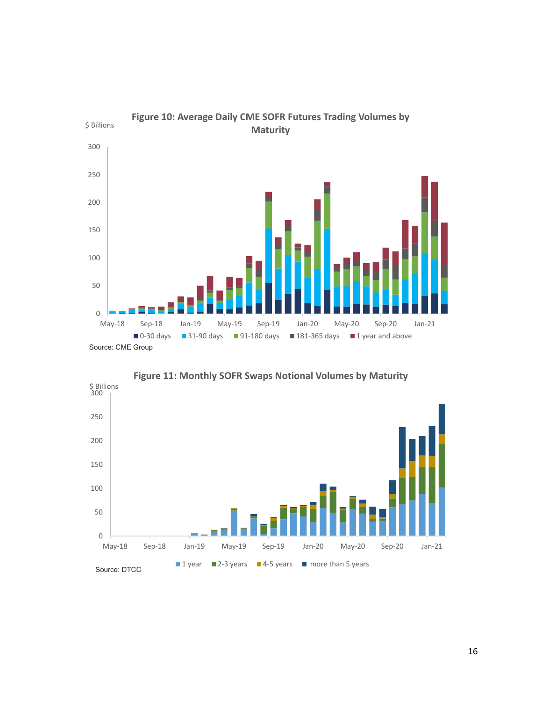



**Figure 11: Monthly SOFR Swaps Notional Volumes by Maturity**